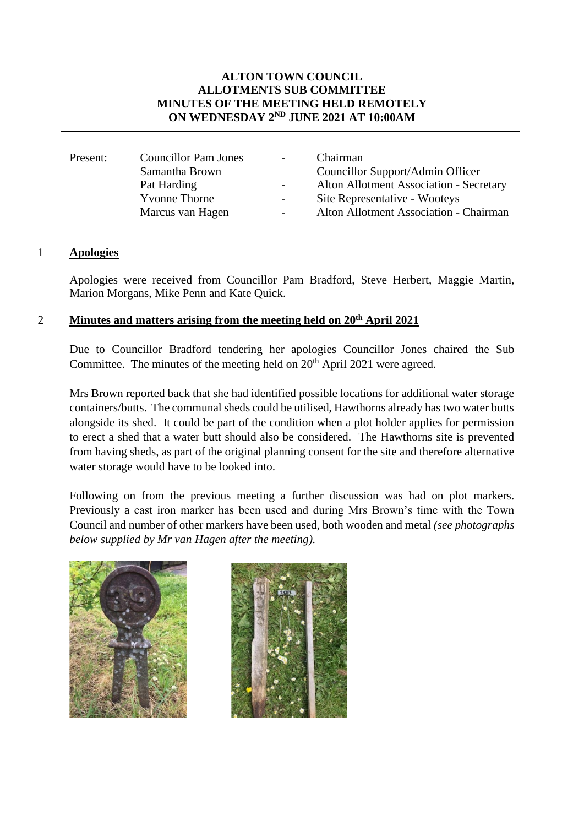## **ALTON TOWN COUNCIL ALLOTMENTS SUB COMMITTEE MINUTES OF THE MEETING HELD REMOTELY ON WEDNESDAY 2ND JUNE 2021 AT 10:00AM**

|                       | $\sim$                      | Chairman                                |
|-----------------------|-----------------------------|-----------------------------------------|
| Samantha Brown        |                             | Councillor Support/Admin Officer        |
| Pat Harding           | $\blacksquare$              | Alton Allotment Association - Secretary |
| <b>Y</b> vonne Thorne | $\overline{a}$              | Site Representative - Wooteys           |
| Marcus van Hagen      | $\overline{\phantom{0}}$    | Alton Allotment Association - Chairman  |
|                       | <b>Councillor Pam Jones</b> |                                         |

#### 1 **Apologies**

Apologies were received from Councillor Pam Bradford, Steve Herbert, Maggie Martin, Marion Morgans, Mike Penn and Kate Quick.

## 2 **Minutes and matters arising from the meeting held on 20<sup>th</sup> April 2021**

Due to Councillor Bradford tendering her apologies Councillor Jones chaired the Sub Committee. The minutes of the meeting held on  $20<sup>th</sup>$  April 2021 were agreed.

Mrs Brown reported back that she had identified possible locations for additional water storage containers/butts. The communal sheds could be utilised, Hawthorns already has two water butts alongside its shed. It could be part of the condition when a plot holder applies for permission to erect a shed that a water butt should also be considered. The Hawthorns site is prevented from having sheds, as part of the original planning consent for the site and therefore alternative water storage would have to be looked into.

Following on from the previous meeting a further discussion was had on plot markers. Previously a cast iron marker has been used and during Mrs Brown's time with the Town Council and number of other markers have been used, both wooden and metal *(see photographs below supplied by Mr van Hagen after the meeting).*